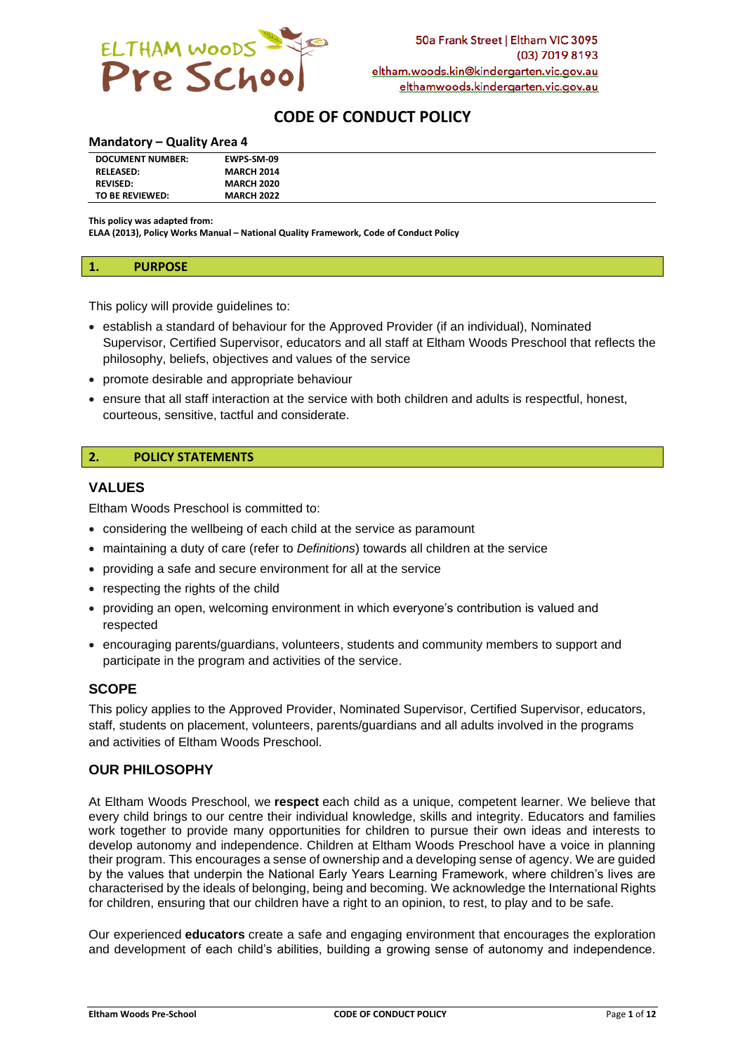

# **CODE OF CONDUCT POLICY**

#### **Mandatory – Quality Area 4**

| <b>DOCUMENT NUMBER:</b> | EWPS-SM-09        |
|-------------------------|-------------------|
| <b>RELEASED:</b>        | <b>MARCH 2014</b> |
| <b>REVISED:</b>         | <b>MARCH 2020</b> |
| TO BE REVIEWED:         | <b>MARCH 2022</b> |

**This policy was adapted from:**

**ELAA (2013), Policy Works Manual – National Quality Framework, Code of Conduct Policy**

#### **1. PURPOSE**

This policy will provide guidelines to:

- establish a standard of behaviour for the Approved Provider (if an individual), Nominated Supervisor, Certified Supervisor, educators and all staff at Eltham Woods Preschool that reflects the philosophy, beliefs, objectives and values of the service
- promote desirable and appropriate behaviour
- ensure that all staff interaction at the service with both children and adults is respectful, honest, courteous, sensitive, tactful and considerate.

## **2. POLICY STATEMENTS**

#### **VALUES**

Eltham Woods Preschool is committed to:

- considering the wellbeing of each child at the service as paramount
- maintaining a duty of care (refer to *Definitions*) towards all children at the service
- providing a safe and secure environment for all at the service
- respecting the rights of the child
- providing an open, welcoming environment in which everyone's contribution is valued and respected
- encouraging parents/guardians, volunteers, students and community members to support and participate in the program and activities of the service.

## **SCOPE**

This policy applies to the Approved Provider, Nominated Supervisor, Certified Supervisor, educators, staff, students on placement, volunteers, parents/guardians and all adults involved in the programs and activities of Eltham Woods Preschool.

## **OUR PHILOSOPHY**

At Eltham Woods Preschool, we **respect** each child as a unique, competent learner. We believe that every child brings to our centre their individual knowledge, skills and integrity. Educators and families work together to provide many opportunities for children to pursue their own ideas and interests to develop autonomy and independence. Children at Eltham Woods Preschool have a voice in planning their program. This encourages a sense of ownership and a developing sense of agency. We are guided by the values that underpin the National Early Years Learning Framework, where children's lives are characterised by the ideals of belonging, being and becoming. We acknowledge the International Rights for children, ensuring that our children have a right to an opinion, to rest, to play and to be safe.

Our experienced **educators** create a safe and engaging environment that encourages the exploration and development of each child's abilities, building a growing sense of autonomy and independence.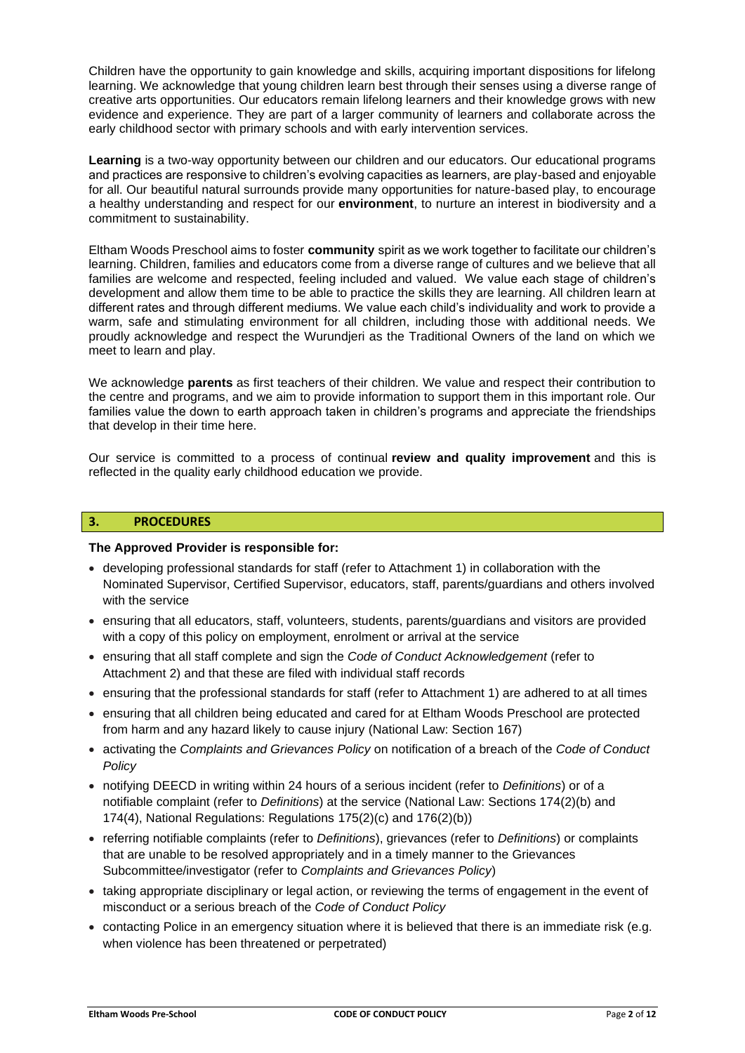Children have the opportunity to gain knowledge and skills, acquiring important dispositions for lifelong learning. We acknowledge that young children learn best through their senses using a diverse range of creative arts opportunities. Our educators remain lifelong learners and their knowledge grows with new evidence and experience. They are part of a larger community of learners and collaborate across the early childhood sector with primary schools and with early intervention services.

**Learning** is a two-way opportunity between our children and our educators. Our educational programs and practices are responsive to children's evolving capacities as learners, are play-based and enjoyable for all. Our beautiful natural surrounds provide many opportunities for nature-based play, to encourage a healthy understanding and respect for our **environment**, to nurture an interest in biodiversity and a commitment to sustainability.

Eltham Woods Preschool aims to foster **community** spirit as we work together to facilitate our children's learning. Children, families and educators come from a diverse range of cultures and we believe that all families are welcome and respected, feeling included and valued. We value each stage of children's development and allow them time to be able to practice the skills they are learning. All children learn at different rates and through different mediums. We value each child's individuality and work to provide a warm, safe and stimulating environment for all children, including those with additional needs. We proudly acknowledge and respect the Wurundjeri as the Traditional Owners of the land on which we meet to learn and play.

We acknowledge **parents** as first teachers of their children. We value and respect their contribution to the centre and programs, and we aim to provide information to support them in this important role. Our families value the down to earth approach taken in children's programs and appreciate the friendships that develop in their time here.

Our service is committed to a process of continual **review and quality improvement** and this is reflected in the quality early childhood education we provide.

### **3. PROCEDURES**

#### **The Approved Provider is responsible for:**

- developing professional standards for staff (refer to Attachment 1) in collaboration with the Nominated Supervisor, Certified Supervisor, educators, staff, parents/guardians and others involved with the service
- ensuring that all educators, staff, volunteers, students, parents/guardians and visitors are provided with a copy of this policy on employment, enrolment or arrival at the service
- ensuring that all staff complete and sign the *Code of Conduct Acknowledgement* (refer to Attachment 2) and that these are filed with individual staff records
- ensuring that the professional standards for staff (refer to Attachment 1) are adhered to at all times
- ensuring that all children being educated and cared for at Eltham Woods Preschool are protected from harm and any hazard likely to cause injury (National Law: Section 167)
- activating the *Complaints and Grievances Policy* on notification of a breach of the *Code of Conduct Policy*
- notifying DEECD in writing within 24 hours of a serious incident (refer to *Definitions*) or of a notifiable complaint (refer to *Definitions*) at the service (National Law: Sections 174(2)(b) and 174(4), National Regulations: Regulations 175(2)(c) and 176(2)(b))
- referring notifiable complaints (refer to *Definitions*), grievances (refer to *Definitions*) or complaints that are unable to be resolved appropriately and in a timely manner to the Grievances Subcommittee/investigator (refer to *Complaints and Grievances Policy*)
- taking appropriate disciplinary or legal action, or reviewing the terms of engagement in the event of misconduct or a serious breach of the *Code of Conduct Policy*
- contacting Police in an emergency situation where it is believed that there is an immediate risk (e.g. when violence has been threatened or perpetrated)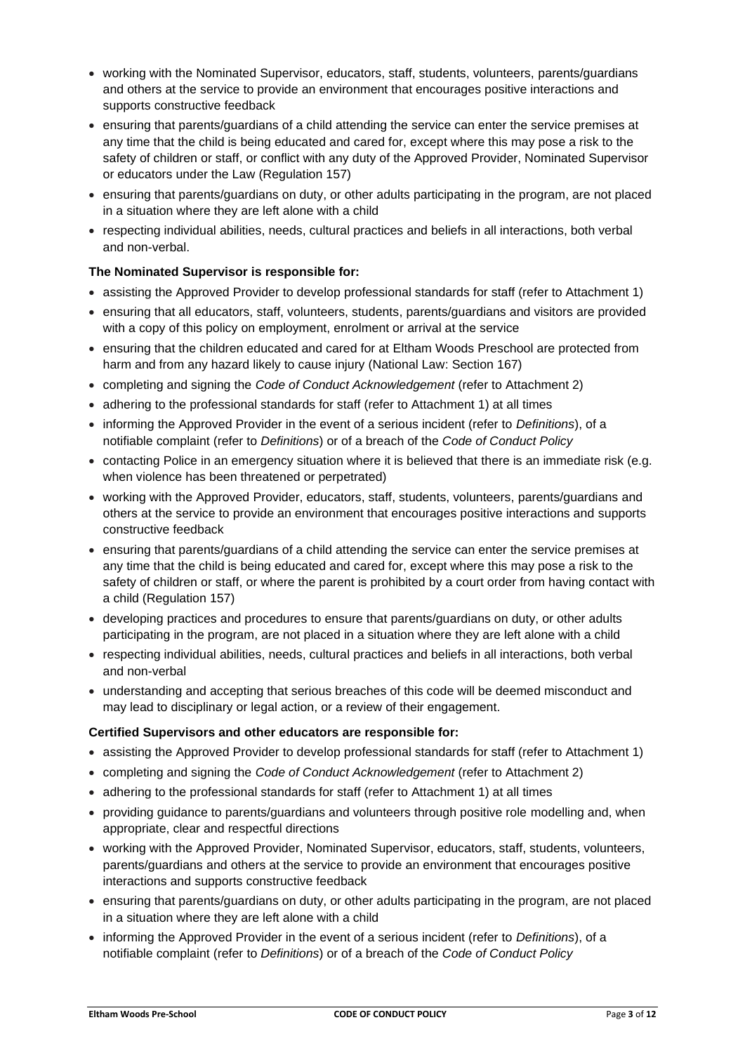- working with the Nominated Supervisor, educators, staff, students, volunteers, parents/guardians and others at the service to provide an environment that encourages positive interactions and supports constructive feedback
- ensuring that parents/guardians of a child attending the service can enter the service premises at any time that the child is being educated and cared for, except where this may pose a risk to the safety of children or staff, or conflict with any duty of the Approved Provider, Nominated Supervisor or educators under the Law (Regulation 157)
- ensuring that parents/guardians on duty, or other adults participating in the program, are not placed in a situation where they are left alone with a child
- respecting individual abilities, needs, cultural practices and beliefs in all interactions, both verbal and non-verbal.

## **The Nominated Supervisor is responsible for:**

- assisting the Approved Provider to develop professional standards for staff (refer to Attachment 1)
- ensuring that all educators, staff, volunteers, students, parents/guardians and visitors are provided with a copy of this policy on employment, enrolment or arrival at the service
- ensuring that the children educated and cared for at Eltham Woods Preschool are protected from harm and from any hazard likely to cause injury (National Law: Section 167)
- completing and signing the *Code of Conduct Acknowledgement* (refer to Attachment 2)
- adhering to the professional standards for staff (refer to Attachment 1) at all times
- informing the Approved Provider in the event of a serious incident (refer to *Definitions*), of a notifiable complaint (refer to *Definitions*) or of a breach of the *Code of Conduct Policy*
- contacting Police in an emergency situation where it is believed that there is an immediate risk (e.g. when violence has been threatened or perpetrated)
- working with the Approved Provider, educators, staff, students, volunteers, parents/guardians and others at the service to provide an environment that encourages positive interactions and supports constructive feedback
- ensuring that parents/guardians of a child attending the service can enter the service premises at any time that the child is being educated and cared for, except where this may pose a risk to the safety of children or staff, or where the parent is prohibited by a court order from having contact with a child (Regulation 157)
- developing practices and procedures to ensure that parents/guardians on duty, or other adults participating in the program, are not placed in a situation where they are left alone with a child
- respecting individual abilities, needs, cultural practices and beliefs in all interactions, both verbal and non-verbal
- understanding and accepting that serious breaches of this code will be deemed misconduct and may lead to disciplinary or legal action, or a review of their engagement.

## **Certified Supervisors and other educators are responsible for:**

- assisting the Approved Provider to develop professional standards for staff (refer to Attachment 1)
- completing and signing the *Code of Conduct Acknowledgement* (refer to Attachment 2)
- adhering to the professional standards for staff (refer to Attachment 1) at all times
- providing guidance to parents/guardians and volunteers through positive role modelling and, when appropriate, clear and respectful directions
- working with the Approved Provider, Nominated Supervisor, educators, staff, students, volunteers, parents/guardians and others at the service to provide an environment that encourages positive interactions and supports constructive feedback
- ensuring that parents/guardians on duty, or other adults participating in the program, are not placed in a situation where they are left alone with a child
- informing the Approved Provider in the event of a serious incident (refer to *Definitions*), of a notifiable complaint (refer to *Definitions*) or of a breach of the *Code of Conduct Policy*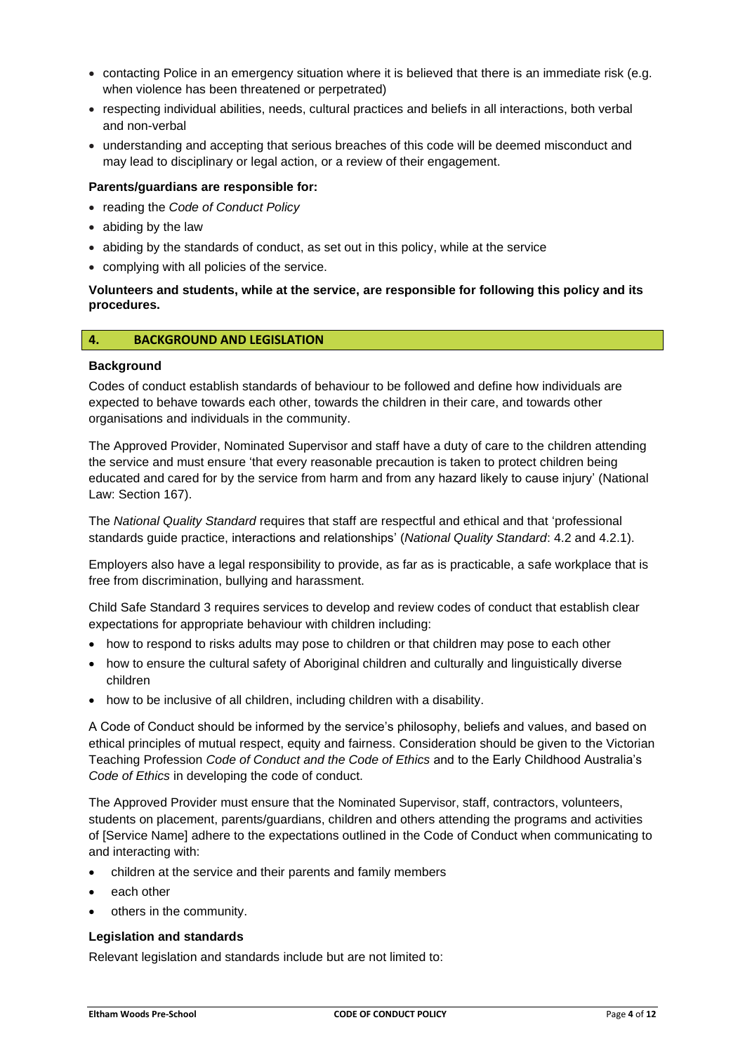- contacting Police in an emergency situation where it is believed that there is an immediate risk (e.g. when violence has been threatened or perpetrated)
- respecting individual abilities, needs, cultural practices and beliefs in all interactions, both verbal and non-verbal
- understanding and accepting that serious breaches of this code will be deemed misconduct and may lead to disciplinary or legal action, or a review of their engagement.

#### **Parents/guardians are responsible for:**

- reading the *Code of Conduct Policy*
- abiding by the law
- abiding by the standards of conduct, as set out in this policy, while at the service
- complying with all policies of the service.

#### **Volunteers and students, while at the service, are responsible for following this policy and its procedures.**

#### **4. BACKGROUND AND LEGISLATION**

#### **Background**

Codes of conduct establish standards of behaviour to be followed and define how individuals are expected to behave towards each other, towards the children in their care, and towards other organisations and individuals in the community.

The Approved Provider, Nominated Supervisor and staff have a duty of care to the children attending the service and must ensure 'that every reasonable precaution is taken to protect children being educated and cared for by the service from harm and from any hazard likely to cause injury' (National Law: Section 167).

The *National Quality Standard* requires that staff are respectful and ethical and that 'professional standards guide practice, interactions and relationships' (*National Quality Standard*: 4.2 and 4.2.1).

Employers also have a legal responsibility to provide, as far as is practicable, a safe workplace that is free from discrimination, bullying and harassment.

Child Safe Standard 3 requires services to develop and review codes of conduct that establish clear expectations for appropriate behaviour with children including:

- how to respond to risks adults may pose to children or that children may pose to each other
- how to ensure the cultural safety of Aboriginal children and culturally and linguistically diverse children
- how to be inclusive of all children, including children with a disability.

A Code of Conduct should be informed by the service's philosophy, beliefs and values, and based on ethical principles of mutual respect, equity and fairness. Consideration should be given to the Victorian Teaching Profession *Code of Conduct and the Code of Ethics* and to the Early Childhood Australia's *Code of Ethics* in developing the code of conduct.

The Approved Provider must ensure that the Nominated Supervisor, staff, contractors, volunteers, students on placement, parents/guardians, children and others attending the programs and activities of [Service Name] adhere to the expectations outlined in the Code of Conduct when communicating to and interacting with:

- children at the service and their parents and family members
- each other
- others in the community.

#### **Legislation and standards**

Relevant legislation and standards include but are not limited to: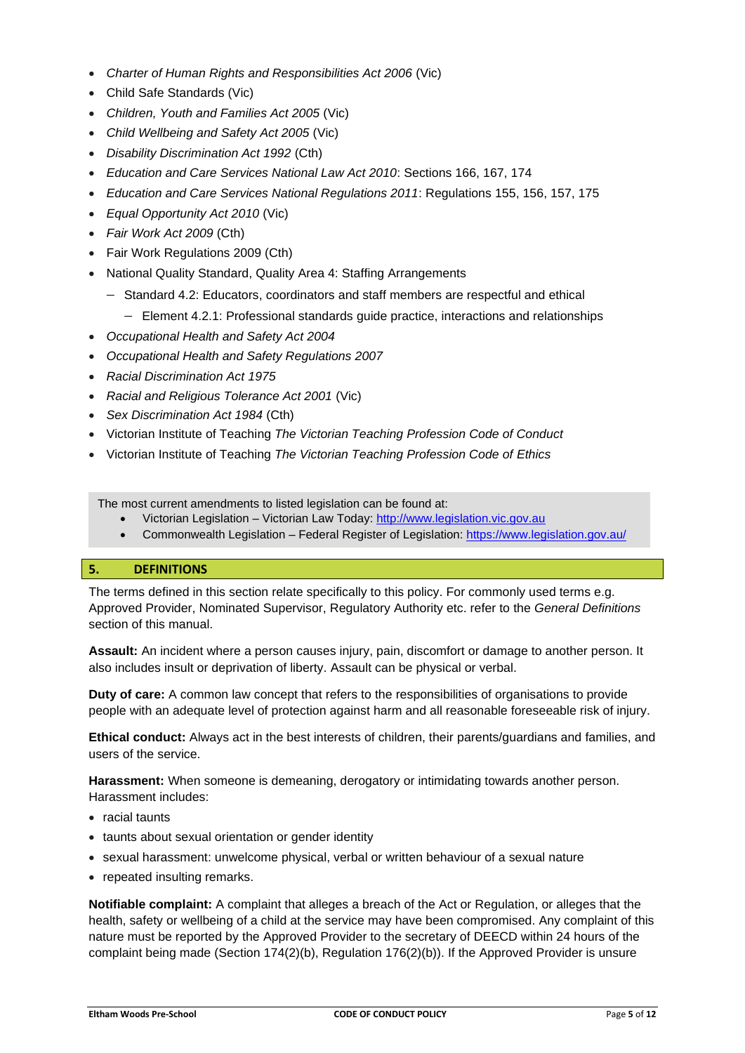- *[Charter of Human Rights and Responsibilities Act 2006](http://www.legislation.vic.gov.au/Domino/Web_Notes/LDMS/PubStatbook.nsf/f932b66241ecf1b7ca256e92000e23be/54d73763ef9dca36ca2571b6002428b0!OpenDocument)* (Vic)
- Child Safe Standards (Vic)
- *Children, Youth and Families Act 2005* (Vic)
- *Child Wellbeing and Safety Act 2005* (Vic)
- *Disability Discrimination Act 1992* (Cth)
- *Education and Care Services National Law Act 2010*: Sections 166, 167, 174
- *Education and Care Services National Regulations 2011*: Regulations 155, 156, 157, 175
- *Equal Opportunity Act 2010* (Vic)
- *Fair Work Act 2009* (Cth)
- Fair Work Regulations 2009 (Cth)
- National Quality Standard, Quality Area 4: Staffing Arrangements
	- − Standard 4.2: Educators, coordinators and staff members are respectful and ethical
		- − Element 4.2.1: Professional standards guide practice, interactions and relationships
- *Occupational Health and Safety Act 2004*
- *Occupational Health and Safety Regulations 2007*
- *Racial Discrimination Act 1975*
- *[Racial and Religious Tolerance Act 2001](http://www.legislation.vic.gov.au/Domino/Web_Notes/LDMS/PubLawToday.nsf/a12f6f60fbd56800ca256de500201e54/ab66aeef028f70e7ca2576400082797c%21OpenDocument)* (Vic)
- *Sex Discrimination Act 1984* (Cth)
- Victorian Institute of Teaching *The Victorian Teaching Profession Code of Conduct*
- Victorian Institute of Teaching *The Victorian Teaching Profession Code of Ethics*

The most current amendments to listed legislation can be found at:

- Victorian Legislation Victorian Law Today: [http://www.legislation.vic.gov.au](http://www.legislation.vic.gov.au/)
- Commonwealth Legislation Federal Register of Legislation[: https://www.legislation.gov.au/](https://www.legislation.gov.au/)

## **5. DEFINITIONS**

The terms defined in this section relate specifically to this policy. For commonly used terms e.g. Approved Provider, Nominated Supervisor, Regulatory Authority etc. refer to the *General Definitions* section of this manual.

**Assault:** An incident where a person causes injury, pain, discomfort or damage to another person. It also includes insult or deprivation of liberty. Assault can be physical or verbal.

**Duty of care:** A common law concept that refers to the responsibilities of organisations to provide people with an adequate level of protection against harm and all reasonable foreseeable risk of injury.

**Ethical conduct:** Always act in the best interests of children, their parents/guardians and families, and users of the service.

**Harassment:** When someone is demeaning, derogatory or intimidating towards another person. Harassment includes:

- racial taunts
- taunts about sexual orientation or gender identity
- sexual harassment: unwelcome physical, verbal or written behaviour of a sexual nature
- repeated insulting remarks.

**Notifiable complaint:** A complaint that alleges a breach of the Act or Regulation, or alleges that the health, safety or wellbeing of a child at the service may have been compromised. Any complaint of this nature must be reported by the Approved Provider to the secretary of DEECD within 24 hours of the complaint being made (Section 174(2)(b), Regulation 176(2)(b)). If the Approved Provider is unsure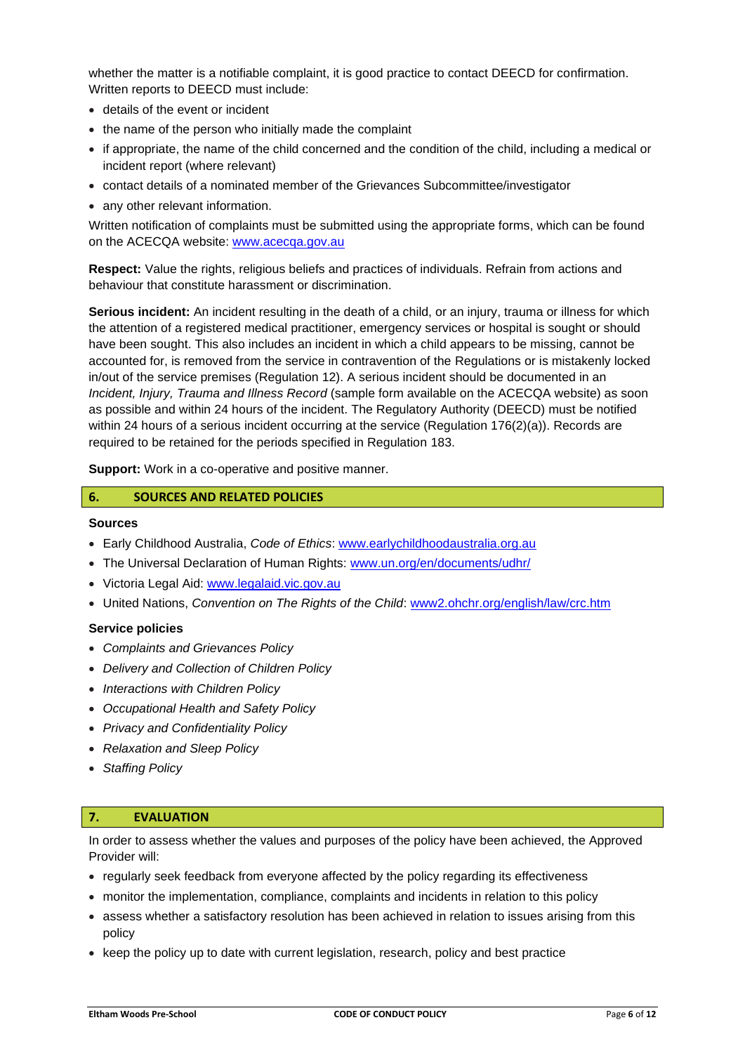whether the matter is a notifiable complaint, it is good practice to contact DEECD for confirmation. Written reports to DEECD must include:

- details of the event or incident
- the name of the person who initially made the complaint
- if appropriate, the name of the child concerned and the condition of the child, including a medical or incident report (where relevant)
- contact details of a nominated member of the Grievances Subcommittee/investigator
- any other relevant information.

Written notification of complaints must be submitted using the appropriate forms, which can be found on the ACECQA website: [www.acecqa.gov.au](http://www.acecqa.gov.au/)

**Respect:** Value the rights, religious beliefs and practices of individuals. Refrain from actions and behaviour that constitute harassment or discrimination.

**Serious incident:** An incident resulting in the death of a child, or an injury, trauma or illness for which the attention of a registered medical practitioner, emergency services or hospital is sought or should have been sought. This also includes an incident in which a child appears to be missing, cannot be accounted for, is removed from the service in contravention of the Regulations or is mistakenly locked in/out of the service premises (Regulation 12). A serious incident should be documented in an *Incident, Injury, Trauma and Illness Record* (sample form available on the ACECQA website) as soon as possible and within 24 hours of the incident. The Regulatory Authority (DEECD) must be notified within 24 hours of a serious incident occurring at the service (Regulation 176(2)(a)). Records are required to be retained for the periods specified in Regulation 183.

**Support:** Work in a co-operative and positive manner.

#### **6. SOURCES AND RELATED POLICIES**

#### **Sources**

- Early Childhood Australia, *Code of Ethics*: www.earlychildhoodaustralia.org.au
- The Universal Declaration of Human Rights: www.un.org/en/documents/udhr/
- Victoria Legal Aid: www.legalaid.vic.gov.au
- United Nations, *Convention on The Rights of the Child*: www2.ohchr.org/english/law/crc.htm

#### **Service policies**

- *Complaints and Grievances Policy*
- *Delivery and Collection of Children Policy*
- *Interactions with Children Policy*
- *Occupational Health and Safety Policy*
- *Privacy and Confidentiality Policy*
- *Relaxation and Sleep Policy*
- *Staffing Policy*

#### **7. EVALUATION**

In order to assess whether the values and purposes of the policy have been achieved, the Approved Provider will:

- regularly seek feedback from everyone affected by the policy regarding its effectiveness
- monitor the implementation, compliance, complaints and incidents in relation to this policy
- assess whether a satisfactory resolution has been achieved in relation to issues arising from this policy
- keep the policy up to date with current legislation, research, policy and best practice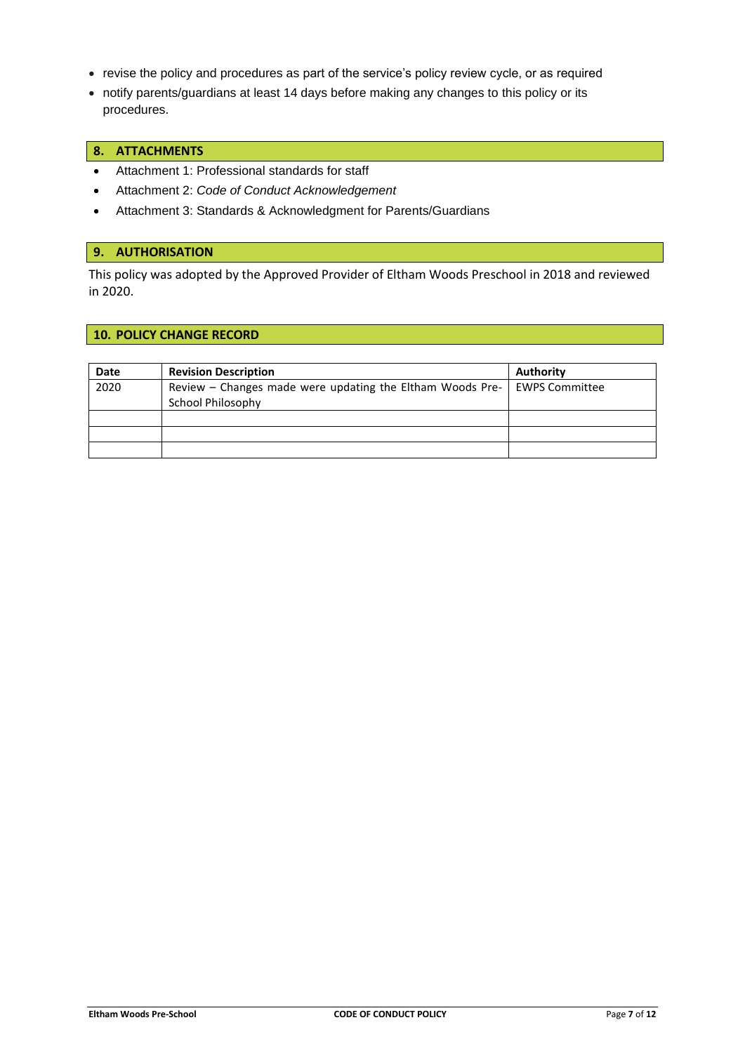- revise the policy and procedures as part of the service's policy review cycle, or as required
- notify parents/guardians at least 14 days before making any changes to this policy or its procedures.

### **8. ATTACHMENTS**

- Attachment 1: Professional standards for staff
- Attachment 2: *Code of Conduct Acknowledgement*
- Attachment 3: Standards & Acknowledgment for Parents/Guardians

#### **9. AUTHORISATION**

This policy was adopted by the Approved Provider of Eltham Woods Preschool in 2018 and reviewed in 2020.

### **10. POLICY CHANGE RECORD**

| <b>Date</b> | <b>Revision Description</b>                               | Authority             |
|-------------|-----------------------------------------------------------|-----------------------|
| 2020        | Review – Changes made were updating the Eltham Woods Pre- | <b>EWPS Committee</b> |
|             | School Philosophy                                         |                       |
|             |                                                           |                       |
|             |                                                           |                       |
|             |                                                           |                       |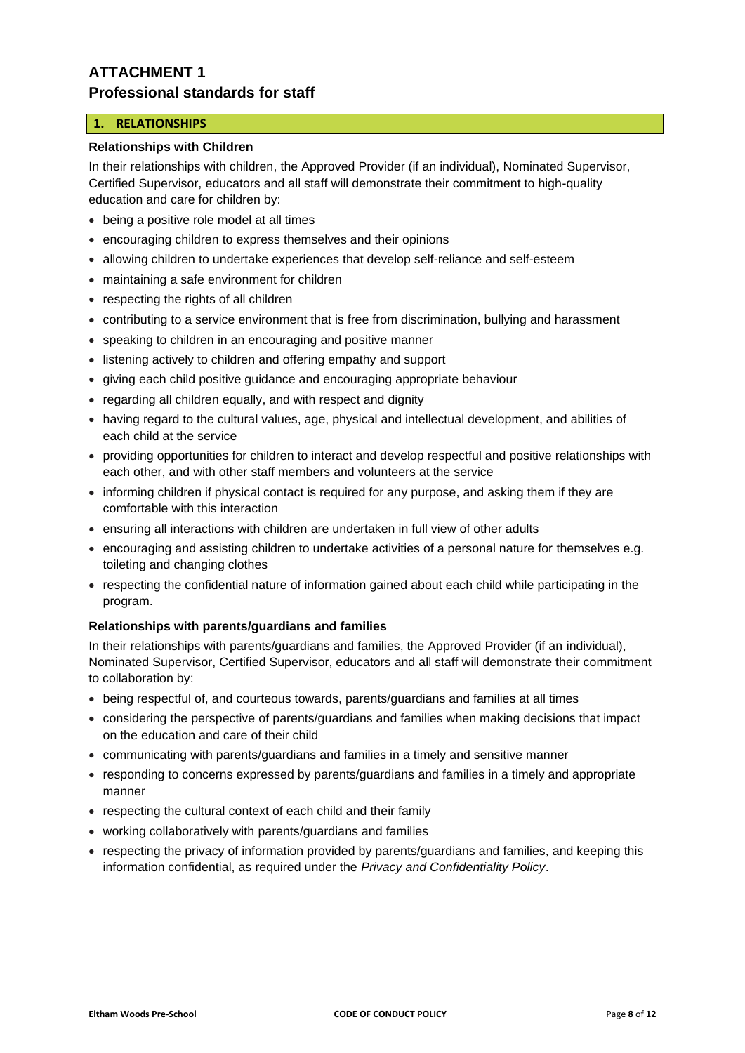# **ATTACHMENT 1 Professional standards for staff**

## **1. RELATIONSHIPS**

## **Relationships with Children**

In their relationships with children, the Approved Provider (if an individual), Nominated Supervisor, Certified Supervisor, educators and all staff will demonstrate their commitment to high-quality education and care for children by:

- being a positive role model at all times
- encouraging children to express themselves and their opinions
- allowing children to undertake experiences that develop self-reliance and self-esteem
- maintaining a safe environment for children
- respecting the rights of all children
- contributing to a service environment that is free from discrimination, bullying and harassment
- speaking to children in an encouraging and positive manner
- listening actively to children and offering empathy and support
- giving each child positive guidance and encouraging appropriate behaviour
- regarding all children equally, and with respect and dignity
- having regard to the cultural values, age, physical and intellectual development, and abilities of each child at the service
- providing opportunities for children to interact and develop respectful and positive relationships with each other, and with other staff members and volunteers at the service
- informing children if physical contact is required for any purpose, and asking them if they are comfortable with this interaction
- ensuring all interactions with children are undertaken in full view of other adults
- encouraging and assisting children to undertake activities of a personal nature for themselves e.g. toileting and changing clothes
- respecting the confidential nature of information gained about each child while participating in the program.

#### **Relationships with parents/guardians and families**

In their relationships with parents/guardians and families, the Approved Provider (if an individual), Nominated Supervisor, Certified Supervisor, educators and all staff will demonstrate their commitment to collaboration by:

- being respectful of, and courteous towards, parents/guardians and families at all times
- considering the perspective of parents/guardians and families when making decisions that impact on the education and care of their child
- communicating with parents/guardians and families in a timely and sensitive manner
- responding to concerns expressed by parents/guardians and families in a timely and appropriate manner
- respecting the cultural context of each child and their family
- working collaboratively with parents/guardians and families
- respecting the privacy of information provided by parents/guardians and families, and keeping this information confidential, as required under the *Privacy and Confidentiality Policy*.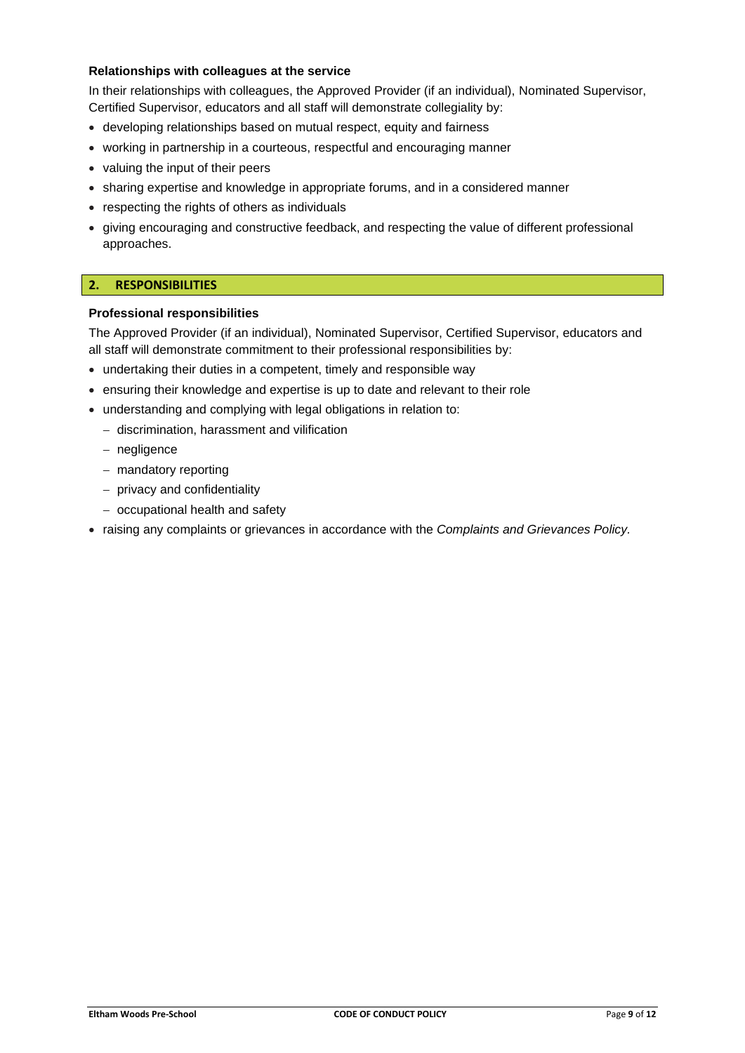## **Relationships with colleagues at the service**

In their relationships with colleagues, the Approved Provider (if an individual), Nominated Supervisor, Certified Supervisor, educators and all staff will demonstrate collegiality by:

- developing relationships based on mutual respect, equity and fairness
- working in partnership in a courteous, respectful and encouraging manner
- valuing the input of their peers
- sharing expertise and knowledge in appropriate forums, and in a considered manner
- respecting the rights of others as individuals
- giving encouraging and constructive feedback, and respecting the value of different professional approaches.

#### **2. RESPONSIBILITIES**

#### **Professional responsibilities**

The Approved Provider (if an individual), Nominated Supervisor, Certified Supervisor, educators and all staff will demonstrate commitment to their professional responsibilities by:

- undertaking their duties in a competent, timely and responsible way
- ensuring their knowledge and expertise is up to date and relevant to their role
- understanding and complying with legal obligations in relation to:
	- − discrimination, harassment and vilification
	- − negligence
	- − mandatory reporting
	- − privacy and confidentiality
	- − occupational health and safety
- raising any complaints or grievances in accordance with the *Complaints and Grievances Policy.*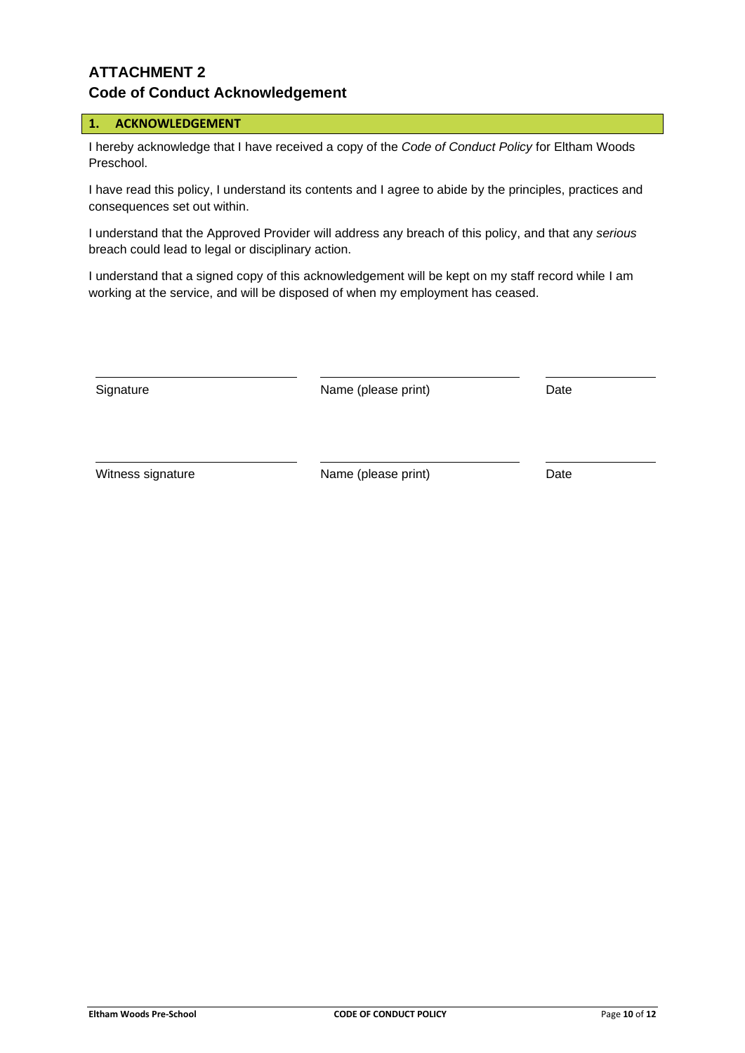# **ATTACHMENT 2 Code of Conduct Acknowledgement**

## **1. ACKNOWLEDGEMENT**

I hereby acknowledge that I have received a copy of the *Code of Conduct Policy* for Eltham Woods Preschool.

I have read this policy, I understand its contents and I agree to abide by the principles, practices and consequences set out within.

I understand that the Approved Provider will address any breach of this policy, and that any *serious* breach could lead to legal or disciplinary action.

I understand that a signed copy of this acknowledgement will be kept on my staff record while I am working at the service, and will be disposed of when my employment has ceased.

Signature **Name** (please print) Date

Witness signature **Name** (please print) Date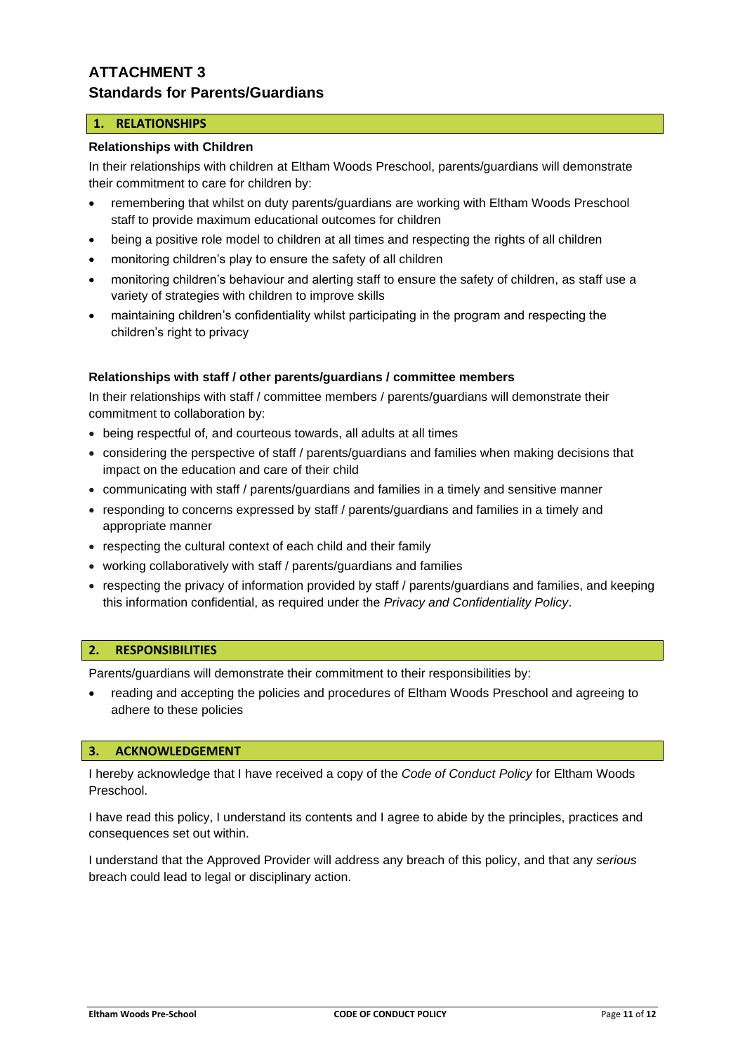# **ATTACHMENT 3 Standards for Parents/Guardians**

## **1. RELATIONSHIPS**

### **Relationships with Children**

In their relationships with children at Eltham Woods Preschool, parents/guardians will demonstrate their commitment to care for children by:

- remembering that whilst on duty parents/guardians are working with Eltham Woods Preschool staff to provide maximum educational outcomes for children
- being a positive role model to children at all times and respecting the rights of all children
- monitoring children's play to ensure the safety of all children
- monitoring children's behaviour and alerting staff to ensure the safety of children, as staff use a variety of strategies with children to improve skills
- maintaining children's confidentiality whilst participating in the program and respecting the children's right to privacy

### **Relationships with staff / other parents/guardians / committee members**

In their relationships with staff / committee members / parents/guardians will demonstrate their commitment to collaboration by:

- being respectful of, and courteous towards, all adults at all times
- considering the perspective of staff / parents/guardians and families when making decisions that impact on the education and care of their child
- communicating with staff / parents/guardians and families in a timely and sensitive manner
- responding to concerns expressed by staff / parents/guardians and families in a timely and appropriate manner
- respecting the cultural context of each child and their family
- working collaboratively with staff / parents/guardians and families
- respecting the privacy of information provided by staff / parents/guardians and families, and keeping this information confidential, as required under the *Privacy and Confidentiality Policy*.

#### **2. RESPONSIBILITIES**

Parents/guardians will demonstrate their commitment to their responsibilities by:

• reading and accepting the policies and procedures of Eltham Woods Preschool and agreeing to adhere to these policies

#### **3. ACKNOWLEDGEMENT**

I hereby acknowledge that I have received a copy of the *Code of Conduct Policy* for Eltham Woods Preschool.

I have read this policy, I understand its contents and I agree to abide by the principles, practices and consequences set out within.

I understand that the Approved Provider will address any breach of this policy, and that any *serious* breach could lead to legal or disciplinary action.